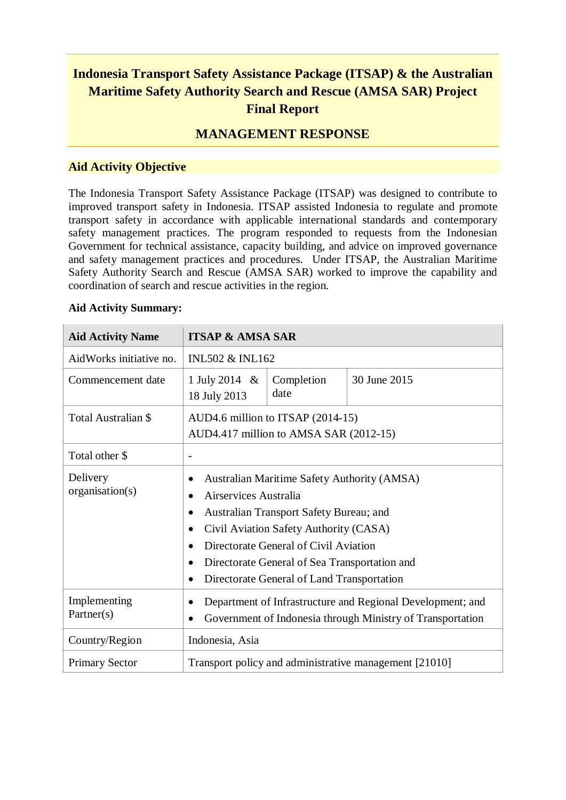# **Indonesia Transport Safety Assistance Package (ITSAP) & the Australian Maritime Safety Authority Search and Rescue (AMSA SAR) Project Final Report**

## **MANAGEMENT RESPONSE**

## **Aid Activity Objective**

The Indonesia Transport Safety Assistance Package (ITSAP) was designed to contribute to improved transport safety in Indonesia. ITSAP assisted Indonesia to regulate and promote transport safety in accordance with applicable international standards and contemporary safety management practices. The program responded to requests from the Indonesian Government for technical assistance, capacity building, and advice on improved governance and safety management practices and procedures. Under ITSAP, the Australian Maritime Safety Authority Search and Rescue (AMSA SAR) worked to improve the capability and coordination of search and rescue activities in the region.

### **Aid Activity Summary:**

| <b>Aid Activity Name</b>    | <b>ITSAP &amp; AMSA SAR</b>                                                                                                                                                                                                                                                                                                                                            |                    |              |  |
|-----------------------------|------------------------------------------------------------------------------------------------------------------------------------------------------------------------------------------------------------------------------------------------------------------------------------------------------------------------------------------------------------------------|--------------------|--------------|--|
| AidWorks initiative no.     | <b>INL502 &amp; INL162</b>                                                                                                                                                                                                                                                                                                                                             |                    |              |  |
| Commencement date           | 1 July 2014 &<br>18 July 2013                                                                                                                                                                                                                                                                                                                                          | Completion<br>date | 30 June 2015 |  |
| <b>Total Australian \$</b>  | AUD4.6 million to ITSAP (2014-15)<br>AUD4.417 million to AMSA SAR (2012-15)                                                                                                                                                                                                                                                                                            |                    |              |  |
| Total other \$              |                                                                                                                                                                                                                                                                                                                                                                        |                    |              |  |
| Delivery<br>organisation(s) | <b>Australian Maritime Safety Authority (AMSA)</b><br>$\bullet$<br>Airservices Australia<br>Australian Transport Safety Bureau; and<br>٠<br>Civil Aviation Safety Authority (CASA)<br>٠<br>Directorate General of Civil Aviation<br>$\bullet$<br>Directorate General of Sea Transportation and<br>$\bullet$<br>Directorate General of Land Transportation<br>$\bullet$ |                    |              |  |
| Implementing<br>Partner(s)  | Department of Infrastructure and Regional Development; and<br>Government of Indonesia through Ministry of Transportation                                                                                                                                                                                                                                               |                    |              |  |
| Country/Region              | Indonesia, Asia                                                                                                                                                                                                                                                                                                                                                        |                    |              |  |
| <b>Primary Sector</b>       | Transport policy and administrative management [21010]                                                                                                                                                                                                                                                                                                                 |                    |              |  |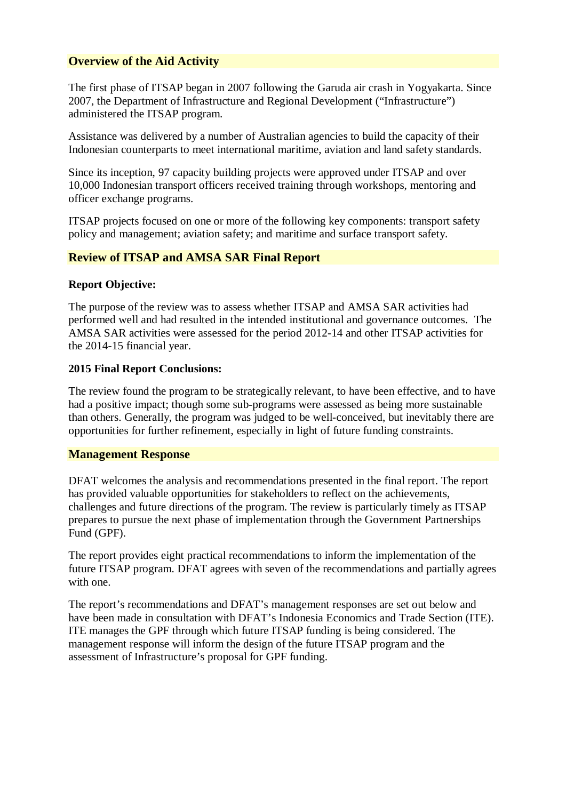## **Overview of the Aid Activity**

The first phase of ITSAP began in 2007 following the Garuda air crash in Yogyakarta. Since 2007, the Department of Infrastructure and Regional Development ("Infrastructure") administered the ITSAP program.

Assistance was delivered by a number of Australian agencies to build the capacity of their Indonesian counterparts to meet international maritime, aviation and land safety standards.

Since its inception, 97 capacity building projects were approved under ITSAP and over 10,000 Indonesian transport officers received training through workshops, mentoring and officer exchange programs.

ITSAP projects focused on one or more of the following key components: transport safety policy and management; aviation safety; and maritime and surface transport safety.

## **Review of ITSAP and AMSA SAR Final Report**

#### **Report Objective:**

The purpose of the review was to assess whether ITSAP and AMSA SAR activities had performed well and had resulted in the intended institutional and governance outcomes. The AMSA SAR activities were assessed for the period 2012-14 and other ITSAP activities for the 2014-15 financial year.

#### **2015 Final Report Conclusions:**

The review found the program to be strategically relevant, to have been effective, and to have had a positive impact; though some sub-programs were assessed as being more sustainable than others. Generally, the program was judged to be well-conceived, but inevitably there are opportunities for further refinement, especially in light of future funding constraints.

#### **Management Response**

DFAT welcomes the analysis and recommendations presented in the final report. The report has provided valuable opportunities for stakeholders to reflect on the achievements, challenges and future directions of the program. The review is particularly timely as ITSAP prepares to pursue the next phase of implementation through the Government Partnerships Fund (GPF).

The report provides eight practical recommendations to inform the implementation of the future ITSAP program. DFAT agrees with seven of the recommendations and partially agrees with one.

The report's recommendations and DFAT's management responses are set out below and have been made in consultation with DFAT's Indonesia Economics and Trade Section (ITE). ITE manages the GPF through which future ITSAP funding is being considered. The management response will inform the design of the future ITSAP program and the assessment of Infrastructure's proposal for GPF funding.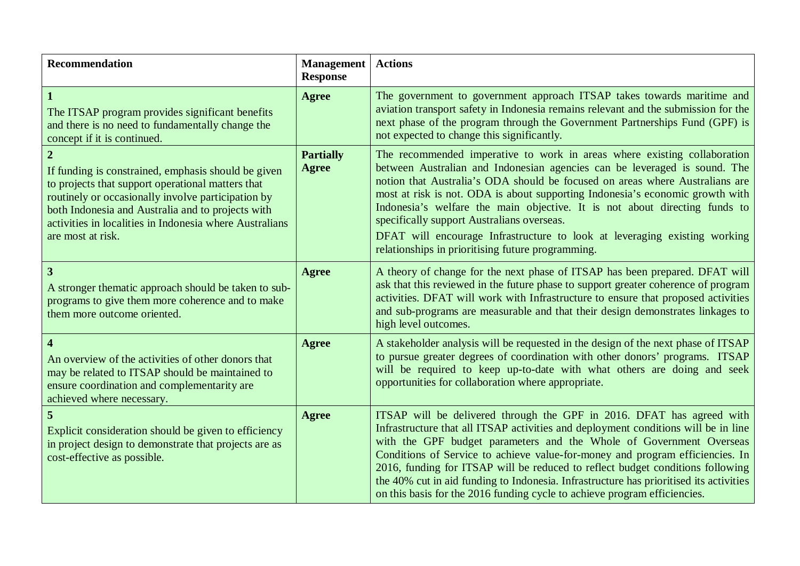| Recommendation                                                                                                                                                                                                                                                                                                        | <b>Management</b><br><b>Response</b> | <b>Actions</b>                                                                                                                                                                                                                                                                                                                                                                                                                                                                                                                                                                       |
|-----------------------------------------------------------------------------------------------------------------------------------------------------------------------------------------------------------------------------------------------------------------------------------------------------------------------|--------------------------------------|--------------------------------------------------------------------------------------------------------------------------------------------------------------------------------------------------------------------------------------------------------------------------------------------------------------------------------------------------------------------------------------------------------------------------------------------------------------------------------------------------------------------------------------------------------------------------------------|
| $\mathbf{1}$<br>The ITSAP program provides significant benefits<br>and there is no need to fundamentally change the<br>concept if it is continued.                                                                                                                                                                    | <b>Agree</b>                         | The government to government approach ITSAP takes towards maritime and<br>aviation transport safety in Indonesia remains relevant and the submission for the<br>next phase of the program through the Government Partnerships Fund (GPF) is<br>not expected to change this significantly.                                                                                                                                                                                                                                                                                            |
| $\overline{2}$<br>If funding is constrained, emphasis should be given<br>to projects that support operational matters that<br>routinely or occasionally involve participation by<br>both Indonesia and Australia and to projects with<br>activities in localities in Indonesia where Australians<br>are most at risk. | <b>Partially</b><br><b>Agree</b>     | The recommended imperative to work in areas where existing collaboration<br>between Australian and Indonesian agencies can be leveraged is sound. The<br>notion that Australia's ODA should be focused on areas where Australians are<br>most at risk is not. ODA is about supporting Indonesia's economic growth with<br>Indonesia's welfare the main objective. It is not about directing funds to<br>specifically support Australians overseas.<br>DFAT will encourage Infrastructure to look at leveraging existing working<br>relationships in prioritising future programming. |
| $\overline{3}$<br>A stronger thematic approach should be taken to sub-<br>programs to give them more coherence and to make<br>them more outcome oriented.                                                                                                                                                             | <b>Agree</b>                         | A theory of change for the next phase of ITSAP has been prepared. DFAT will<br>ask that this reviewed in the future phase to support greater coherence of program<br>activities. DFAT will work with Infrastructure to ensure that proposed activities<br>and sub-programs are measurable and that their design demonstrates linkages to<br>high level outcomes.                                                                                                                                                                                                                     |
| $\overline{\mathbf{4}}$<br>An overview of the activities of other donors that<br>may be related to ITSAP should be maintained to<br>ensure coordination and complementarity are<br>achieved where necessary.                                                                                                          | <b>Agree</b>                         | A stakeholder analysis will be requested in the design of the next phase of ITSAP<br>to pursue greater degrees of coordination with other donors' programs. ITSAP<br>will be required to keep up-to-date with what others are doing and seek<br>opportunities for collaboration where appropriate.                                                                                                                                                                                                                                                                                   |
| Explicit consideration should be given to efficiency<br>in project design to demonstrate that projects are as<br>cost-effective as possible.                                                                                                                                                                          | <b>Agree</b>                         | ITSAP will be delivered through the GPF in 2016. DFAT has agreed with<br>Infrastructure that all ITSAP activities and deployment conditions will be in line<br>with the GPF budget parameters and the Whole of Government Overseas<br>Conditions of Service to achieve value-for-money and program efficiencies. In<br>2016, funding for ITSAP will be reduced to reflect budget conditions following<br>the 40% cut in aid funding to Indonesia. Infrastructure has prioritised its activities<br>on this basis for the 2016 funding cycle to achieve program efficiencies.         |